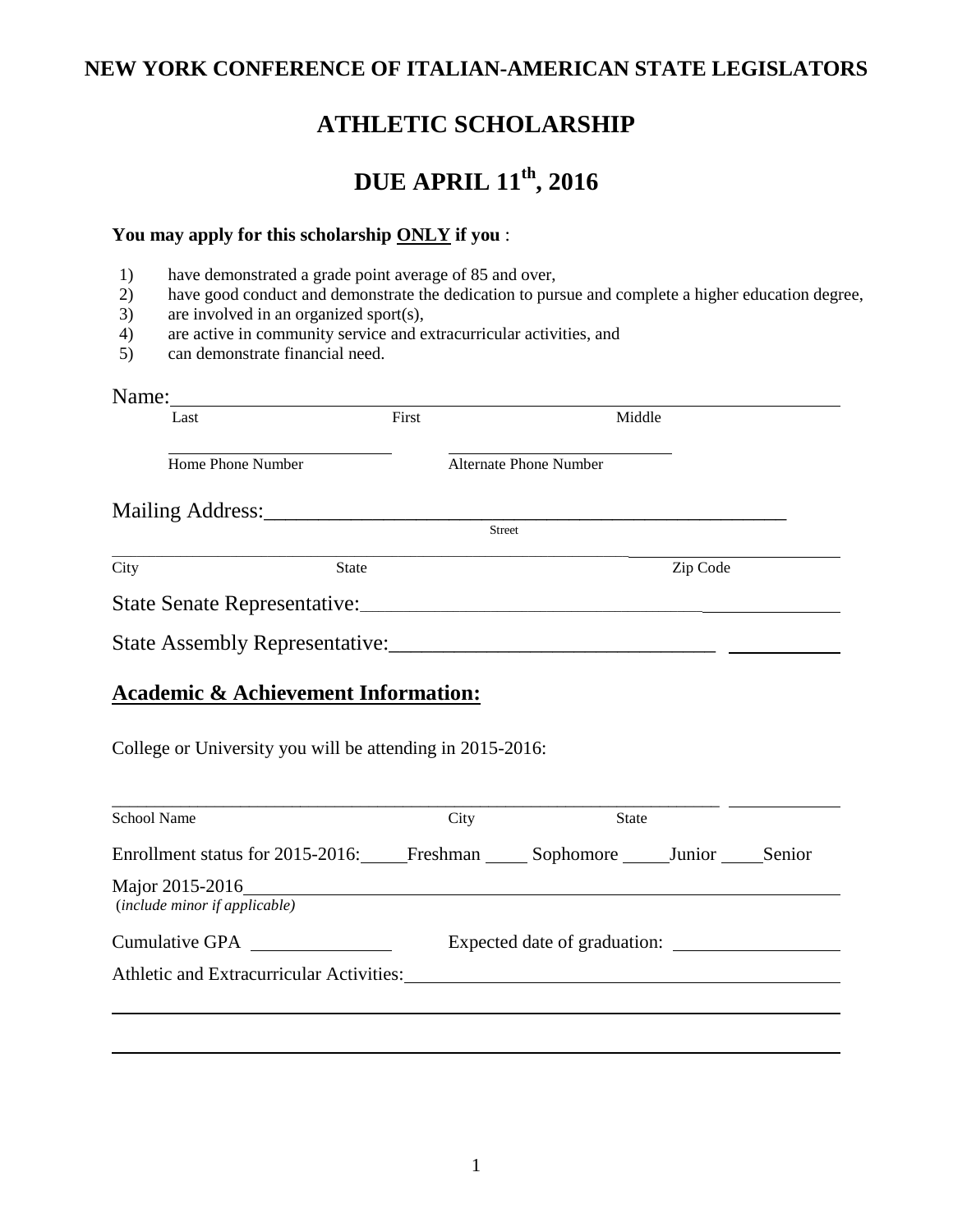## **NEW YORK CONFERENCE OF ITALIAN-AMERICAN STATE LEGISLATORS**

# **ATHLETIC SCHOLARSHIP**

# **DUE APRIL 11th, 2016**

#### **You may apply for this scholarship ONLY if you** :

- 1) have demonstrated a grade point average of 85 and over,
- 2) have good conduct and demonstrate the dedication to pursue and complete a higher education degree,
- 3) are involved in an organized sport(s),
- 4) are active in community service and extracurricular activities, and can demonstrate financial need.
- 5) can demonstrate financial need.

| Name: $\frac{1}{\sqrt{1-\frac{1}{2}} \cdot \frac{1}{2} \cdot \frac{1}{2} \cdot \frac{1}{2} \cdot \frac{1}{2} \cdot \frac{1}{2} \cdot \frac{1}{2} \cdot \frac{1}{2} \cdot \frac{1}{2} \cdot \frac{1}{2} \cdot \frac{1}{2} \cdot \frac{1}{2} \cdot \frac{1}{2} \cdot \frac{1}{2} \cdot \frac{1}{2} \cdot \frac{1}{2} \cdot \frac{1}{2} \cdot \frac{1}{2} \cdot \frac{1}{2} \cdot \frac{1}{2} \cdot \frac{1}{2} \cdot \frac{1}{2} \cdot \frac{1}{2}$ |                              |                               |          |  |
|---------------------------------------------------------------------------------------------------------------------------------------------------------------------------------------------------------------------------------------------------------------------------------------------------------------------------------------------------------------------------------------------------------------------------------------------------|------------------------------|-------------------------------|----------|--|
| Last                                                                                                                                                                                                                                                                                                                                                                                                                                              | First                        | Middle                        |          |  |
| Home Phone Number                                                                                                                                                                                                                                                                                                                                                                                                                                 |                              | <b>Alternate Phone Number</b> |          |  |
|                                                                                                                                                                                                                                                                                                                                                                                                                                                   |                              |                               |          |  |
|                                                                                                                                                                                                                                                                                                                                                                                                                                                   |                              | Street                        |          |  |
| <b>State</b><br>City                                                                                                                                                                                                                                                                                                                                                                                                                              |                              |                               | Zip Code |  |
|                                                                                                                                                                                                                                                                                                                                                                                                                                                   |                              |                               |          |  |
|                                                                                                                                                                                                                                                                                                                                                                                                                                                   |                              |                               |          |  |
| <b>Academic &amp; Achievement Information:</b><br>College or University you will be attending in 2015-2016:                                                                                                                                                                                                                                                                                                                                       |                              |                               |          |  |
| <b>School Name</b>                                                                                                                                                                                                                                                                                                                                                                                                                                | City                         | <b>State</b>                  |          |  |
| Enrollment status for 2015-2016: Freshman Sophomore Junior Senior                                                                                                                                                                                                                                                                                                                                                                                 |                              |                               |          |  |
| (include minor if applicable)                                                                                                                                                                                                                                                                                                                                                                                                                     |                              |                               |          |  |
|                                                                                                                                                                                                                                                                                                                                                                                                                                                   | Expected date of graduation: |                               |          |  |
| Athletic and Extracurricular Activities: Manual Activities and Extracurricular Activities:                                                                                                                                                                                                                                                                                                                                                        |                              |                               |          |  |
|                                                                                                                                                                                                                                                                                                                                                                                                                                                   |                              |                               |          |  |